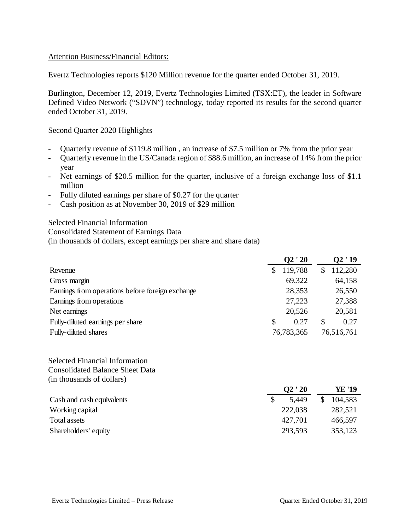## Attention Business/Financial Editors:

Evertz Technologies reports \$120 Million revenue for the quarter ended October 31, 2019.

Burlington, December 12, 2019, Evertz Technologies Limited (TSX:ET), the leader in Software Defined Video Network ("SDVN") technology, today reported its results for the second quarter ended October 31, 2019.

#### Second Quarter 2020 Highlights

- Quarterly revenue of \$119.8 million , an increase of \$7.5 million or 7% from the prior year
- Quarterly revenue in the US/Canada region of \$88.6 million, an increase of 14% from the prior year
- Net earnings of \$20.5 million for the quarter, inclusive of a foreign exchange loss of \$1.1 million
- Fully diluted earnings per share of \$0.27 for the quarter
- Cash position as at November 30, 2019 of \$29 million

Selected Financial Information Consolidated Statement of Earnings Data (in thousands of dollars, except earnings per share and share data)

|                                                  |     | Q2'20      |   | Q2'19      |
|--------------------------------------------------|-----|------------|---|------------|
| Revenue                                          | \$. | 119,788    |   | 112,280    |
| Gross margin                                     |     | 69,322     |   | 64,158     |
| Earnings from operations before foreign exchange |     | 28,353     |   | 26,550     |
| Earnings from operations                         |     | 27,223     |   | 27,388     |
| Net earnings                                     |     | 20,526     |   | 20,581     |
| Fully-diluted earnings per share                 | \$  | 0.27       | S | 0.27       |
| Fully-diluted shares                             |     | 76,783,365 |   | 76,516,761 |

### Selected Financial Information Consolidated Balance Sheet Data (in thousands of dollars)

|                           | $\overline{\text{O2}}$ ' 20 | YE '19  |
|---------------------------|-----------------------------|---------|
| Cash and cash equivalents | 5.449                       | 104,583 |
| Working capital           | 222,038                     | 282,521 |
| Total assets              | 427,701                     | 466,597 |
| Shareholders' equity      | 293,593                     | 353,123 |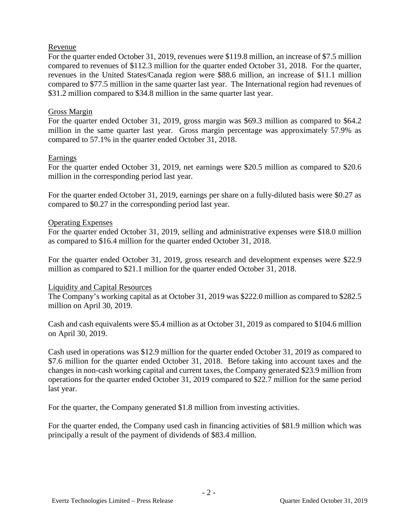## Revenue

For the quarter ended October 31, 2019, revenues were \$119.8 million, an increase of \$7.5 million compared to revenues of \$112.3 million for the quarter ended October 31, 2018. For the quarter, revenues in the United States/Canada region were \$88.6 million, an increase of \$11.1 million compared to \$77.5 million in the same quarter last year. The International region had revenues of \$31.2 million compared to \$34.8 million in the same quarter last year.

## Gross Margin

For the quarter ended October 31, 2019, gross margin was \$69.3 million as compared to \$64.2 million in the same quarter last year. Gross margin percentage was approximately 57.9% as compared to 57.1% in the quarter ended October 31, 2018.

## Earnings

For the quarter ended October 31, 2019, net earnings were \$20.5 million as compared to \$20.6 million in the corresponding period last year.

For the quarter ended October 31, 2019, earnings per share on a fully-diluted basis were \$0.27 as compared to \$0.27 in the corresponding period last year.

## Operating Expenses

For the quarter ended October 31, 2019, selling and administrative expenses were \$18.0 million as compared to \$16.4 million for the quarter ended October 31, 2018.

For the quarter ended October 31, 2019, gross research and development expenses were \$22.9 million as compared to \$21.1 million for the quarter ended October 31, 2018.

#### Liquidity and Capital Resources

The Company's working capital as at October 31, 2019 was \$222.0 million as compared to \$282.5 million on April 30, 2019.

Cash and cash equivalents were \$5.4 million as at October 31, 2019 as compared to \$104.6 million on April 30, 2019.

Cash used in operations was \$12.9 million for the quarter ended October 31, 2019 as compared to \$7.6 million for the quarter ended October 31, 2018. Before taking into account taxes and the changes in non-cash working capital and current taxes, the Company generated \$23.9 million from operations for the quarter ended October 31, 2019 compared to \$22.7 million for the same period last year.

For the quarter, the Company generated \$1.8 million from investing activities.

For the quarter ended, the Company used cash in financing activities of \$81.9 million which was principally a result of the payment of dividends of \$83.4 million.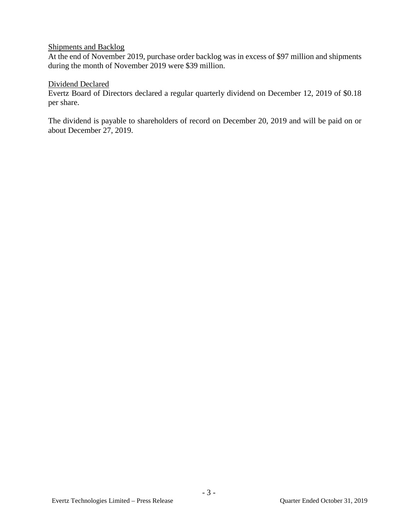# Shipments and Backlog

At the end of November 2019, purchase order backlog was in excess of \$97 million and shipments during the month of November 2019 were \$39 million.

## Dividend Declared

Evertz Board of Directors declared a regular quarterly dividend on December 12, 2019 of \$0.18 per share.

The dividend is payable to shareholders of record on December 20, 2019 and will be paid on or about December 27, 2019.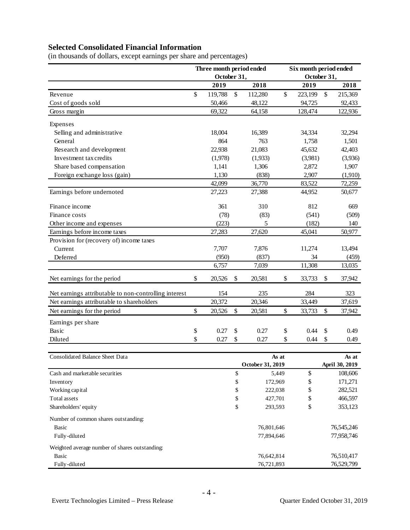# **Selected Consolidated Financial Information**

|                                                       | Three month period ended<br>October 31, |         |              | Six month period ended<br>October 31, |    |         |               |         |
|-------------------------------------------------------|-----------------------------------------|---------|--------------|---------------------------------------|----|---------|---------------|---------|
|                                                       |                                         |         |              |                                       |    |         |               |         |
|                                                       |                                         | 2019    |              | 2018                                  |    | 2019    |               | 2018    |
| Revenue                                               | $\mathbf{\hat{S}}$                      | 119,788 | $\mathbb{S}$ | 112,280                               | \$ | 223,199 | $\mathcal{S}$ | 215,369 |
| Cost of goods sold                                    |                                         | 50,466  |              | 48,122                                |    | 94,725  |               | 92,433  |
| Gross margin                                          |                                         | 69,322  |              | 64,158                                |    | 128,474 |               | 122,936 |
| Expenses                                              |                                         |         |              |                                       |    |         |               |         |
| Selling and administrative                            |                                         | 18,004  |              | 16,389                                |    | 34,334  |               | 32,294  |
| General                                               |                                         | 864     |              | 763                                   |    | 1,758   |               | 1,501   |
| Research and development                              |                                         | 22,938  |              | 21,083                                |    | 45,632  |               | 42,403  |
| Investment tax credits                                |                                         | (1,978) |              | (1,933)                               |    | (3,981) |               | (3,936) |
| Share based compensation                              |                                         | 1,141   |              | 1,306                                 |    | 2,872   |               | 1,907   |
| Foreign exchange loss (gain)                          |                                         | 1,130   |              | (838)                                 |    | 2,907   |               | (1,910) |
|                                                       |                                         | 42,099  |              | 36,770                                |    | 83,522  |               | 72,259  |
| Earnings before undernoted                            |                                         | 27,223  |              | 27,388                                |    | 44,952  |               | 50,677  |
| Finance income                                        |                                         | 361     |              | 310                                   |    | 812     |               | 669     |
| Finance costs                                         |                                         | (78)    |              | (83)                                  |    | (541)   |               | (509)   |
| Other income and expenses                             |                                         | (223)   |              | 5                                     |    | (182)   |               | 140     |
| Earnings before income taxes                          |                                         | 27,283  |              | 27,620                                |    | 45,041  |               | 50,977  |
| Provision for (recovery of) income taxes              |                                         |         |              |                                       |    |         |               |         |
| Current                                               |                                         | 7,707   |              | 7,876                                 |    | 11,274  |               | 13,494  |
| Deferred                                              |                                         | (950)   |              | (837)                                 |    | 34      |               | (459)   |
|                                                       |                                         | 6,757   |              | 7,039                                 |    | 11,308  |               | 13,035  |
| Net earnings for the period                           | \$                                      | 20,526  | \$           | 20,581                                | \$ | 33,733  | \$            | 37,942  |
| Net earnings attributable to non-controlling interest |                                         | 154     |              | 235                                   |    | 284     |               | 323     |
| Net earnings attributable to shareholders             |                                         | 20,372  |              | 20,346                                |    | 33,449  |               | 37,619  |
| Net earnings for the period                           | \$                                      | 20,526  | \$           | 20,581                                | \$ | 33,733  | \$            | 37,942  |
| Earnings per share                                    |                                         |         |              |                                       |    |         |               |         |
| Basic                                                 | \$                                      | 0.27    | \$           | 0.27                                  | \$ | 0.44    | \$            | 0.49    |
| Diluted                                               | \$                                      | 0.27    | \$           | 0.27                                  | \$ | 0.44    | \$            | 0.49    |

(in thousands of dollars, except earnings per share and percentages)

| <b>Consolidated Balance Sheet Data</b>         | As at            |            | As at          |  |
|------------------------------------------------|------------------|------------|----------------|--|
|                                                | October 31, 2019 |            | April 30, 2019 |  |
| Cash and marketable securities                 | \$<br>5.449      | \$         | 108,606        |  |
| Inventory                                      | \$<br>172,969    | \$         | 171,271        |  |
| Working capital                                | \$<br>222,038    | \$         | 282,521        |  |
| Total assets                                   | \$<br>427,701    | \$         | 466,597        |  |
| Shareholders' equity                           | \$<br>293,593    | \$         | 353,123        |  |
| Number of common shares outstanding:           |                  |            |                |  |
| <b>Basic</b>                                   | 76,801,646       |            | 76, 545, 246   |  |
| Fully-diluted                                  | 77,894,646       | 77,958,746 |                |  |
| Weighted average number of shares outstanding: |                  |            |                |  |
| <b>Basic</b>                                   | 76,642,814       |            | 76,510,417     |  |
| Fully-diluted                                  | 76,721,893       |            | 76,529,799     |  |